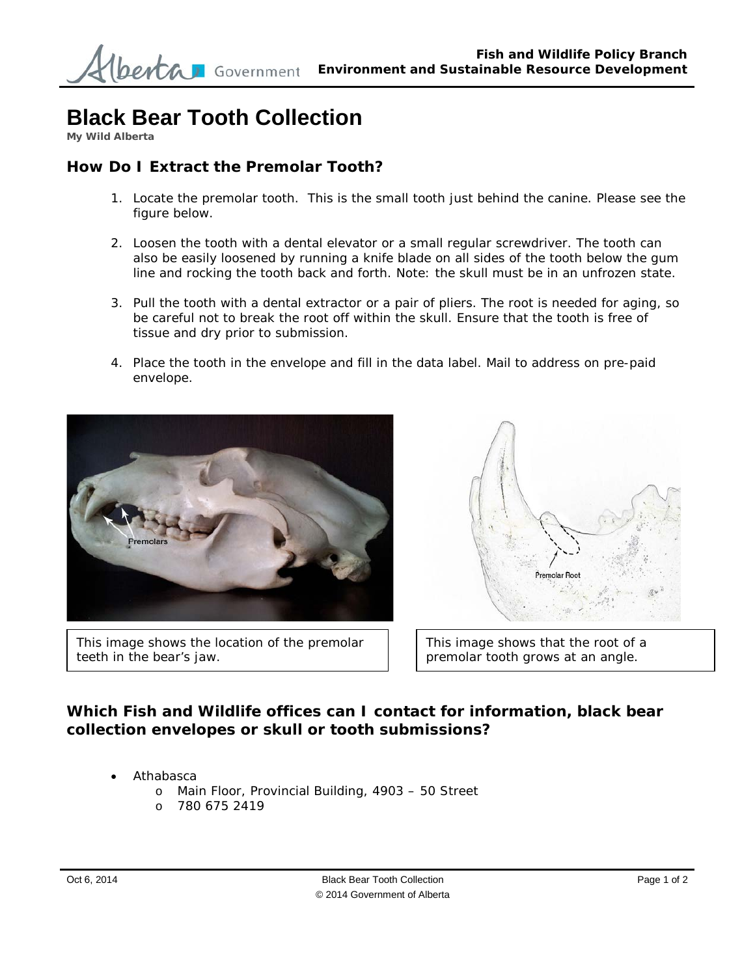## **Black Bear Tooth Collection**

**My Wild Alberta** 

## **How Do I Extract the Premolar Tooth?**

- 1. Locate the premolar tooth. This is the small tooth just behind the canine. Please see the figure below.
- 2. Loosen the tooth with a dental elevator or a small regular screwdriver. The tooth can also be easily loosened by running a knife blade on all sides of the tooth below the gum line and rocking the tooth back and forth. Note: the skull must be in an unfrozen state.
- 3. Pull the tooth with a dental extractor or a pair of pliers. The root is needed for aging, so be careful not to break the root off within the skull. Ensure that the tooth is free of tissue and dry prior to submission.
- 4. Place the tooth in the envelope and fill in the data label. Mail to address on pre-paid envelope.



This image shows the location of the premolar teeth in the bear's jaw.



This image shows that the root of a premolar tooth grows at an angle.

## **Which Fish and Wildlife offices can I contact for information, black bear collection envelopes or skull or tooth submissions?**

- Athabasca
	- o Main Floor, Provincial Building, 4903 50 Street
	- o 780 675 2419